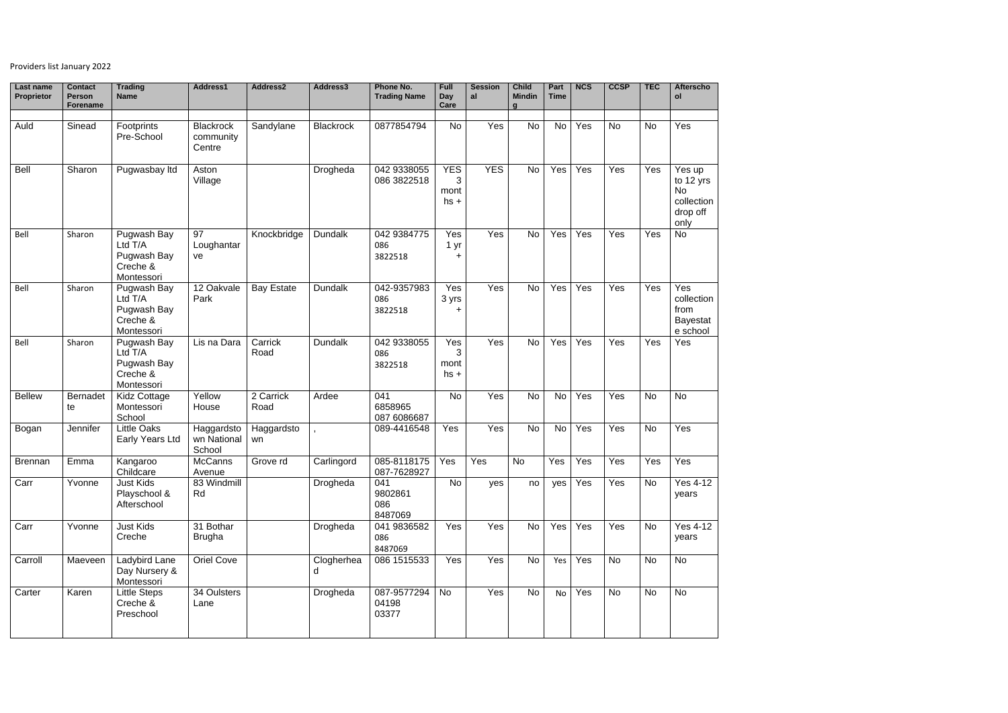## Providers list January 2022

| Last name<br>Proprietor | <b>Contact</b><br><b>Person</b><br><b>Forename</b> | <b>Trading</b><br><b>Name</b>                                   | Address1                                | Address2          | Address3         | Phone No.<br><b>Trading Name</b> | Full<br>Day<br>Care               | <b>Session</b><br>al | <b>Child</b><br><b>Mindin</b><br>a | Part<br><b>Time</b> | <b>NCS</b> | <b>CCSP</b> | <b>TEC</b> | <b>Afterscho</b><br>ol                                             |
|-------------------------|----------------------------------------------------|-----------------------------------------------------------------|-----------------------------------------|-------------------|------------------|----------------------------------|-----------------------------------|----------------------|------------------------------------|---------------------|------------|-------------|------------|--------------------------------------------------------------------|
|                         |                                                    |                                                                 |                                         |                   |                  |                                  |                                   |                      |                                    |                     |            |             |            |                                                                    |
| Auld                    | Sinead                                             | Footprints<br>Pre-School                                        | <b>Blackrock</b><br>community<br>Centre | Sandylane         | <b>Blackrock</b> | 0877854794                       | <b>No</b>                         | Yes                  | No                                 | <b>No</b>           | Yes        | <b>No</b>   | <b>No</b>  | Yes                                                                |
| <b>Bell</b>             | Sharon                                             | Pugwasbay Itd                                                   | Aston<br>Village                        |                   | Drogheda         | 042 9338055<br>086 3822518       | <b>YES</b><br>3<br>mont<br>$hs +$ | <b>YES</b>           | <b>No</b>                          | Yes                 | Yes        | Yes         | Yes        | Yes up<br>to 12 yrs<br><b>No</b><br>collection<br>drop off<br>only |
| Bell                    | Sharon                                             | Pugwash Bay<br>Ltd T/A<br>Pugwash Bay<br>Creche &<br>Montessori | 97<br>Loughantar<br>ve                  | Knockbridge       | <b>Dundalk</b>   | 042 9384775<br>086<br>3822518    | Yes<br>1 yr<br>┿                  | Yes                  | No                                 | Yes                 | Yes        | Yes         | Yes        | <b>No</b>                                                          |
| Bell                    | Sharon                                             | Pugwash Bay<br>Ltd T/A<br>Pugwash Bay<br>Creche &<br>Montessori | 12 Oakvale<br>Park                      | <b>Bay Estate</b> | <b>Dundalk</b>   | 042-9357983<br>086<br>3822518    | Yes<br>3 yrs                      | Yes                  | <b>No</b>                          | Yes                 | Yes        | Yes         | Yes        | Yes<br>collection<br>from<br><b>Bayestat</b><br>e school           |
| Bell                    | Sharon                                             | Pugwash Bay<br>Ltd T/A<br>Pugwash Bay<br>Creche &<br>Montessori | Lis na Dara                             | Carrick<br>Road   | <b>Dundalk</b>   | 042 9338055<br>086<br>3822518    | Yes<br>3<br>mont<br>$hs +$        | Yes                  | <b>No</b>                          | Yes                 | Yes        | Yes         | Yes        | Yes                                                                |
| <b>Bellew</b>           | <b>Bernadet</b><br>te                              | <b>Kidz Cottage</b><br>Montessori<br>School                     | Yellow<br>House                         | 2 Carrick<br>Road | Ardee            | 041<br>6858965<br>087 6086687    | <b>No</b>                         | Yes                  | No                                 | <b>No</b>           | Yes        | Yes         | <b>No</b>  | <b>No</b>                                                          |
| Bogan                   | Jennifer                                           | <b>Little Oaks</b><br>Early Years Ltd                           | Haggardsto<br>wn National<br>School     | Haggardsto<br>wn  |                  | 089-4416548                      | Yes                               | Yes                  | No                                 | <b>No</b>           | Yes        | Yes         | <b>No</b>  | Yes                                                                |
| <b>Brennan</b>          | Emma                                               | Kangaroo<br>Childcare                                           | <b>McCanns</b><br>Avenue                | Grove rd          | Carlingord       | 085-8118175   Yes<br>087-7628927 |                                   | Yes                  | No                                 | Yes                 | Yes        | Yes         | Yes        | Yes                                                                |
| Carr                    | Yvonne                                             | <b>Just Kids</b><br>Playschool &<br>Afterschool                 | 83 Windmill<br>Rd                       |                   | Drogheda         | 041<br>9802861<br>086<br>8487069 | No                                | yes                  | no                                 | yes                 | Yes        | Yes         | <b>No</b>  | <b>Yes 4-12</b><br>years                                           |
| Carr                    | Yvonne                                             | <b>Just Kids</b><br>Creche                                      | 31 Bothar<br><b>Brugha</b>              |                   | Drogheda         | 041 9836582<br>086<br>8487069    | Yes                               | Yes                  | <b>No</b>                          | Yes                 | Yes        | Yes         | No         | <b>Yes 4-12</b><br>years                                           |
| Carroll                 | Maeveen                                            | Ladybird Lane<br>Day Nursery &<br>Montessori                    | Oriel Cove                              |                   | Clogherhea<br>d  | 086 1515533                      | Yes                               | Yes                  | No                                 | Yes                 | Yes        | No          | <b>No</b>  | <b>No</b>                                                          |
| Carter                  | Karen                                              | <b>Little Steps</b><br>Creche &<br>Preschool                    | 34 Oulsters<br>Lane                     |                   | Drogheda         | 087-9577294<br>04198<br>03377    | No                                | Yes                  | <b>No</b>                          | No                  | Yes        | <b>No</b>   | <b>No</b>  | <b>No</b>                                                          |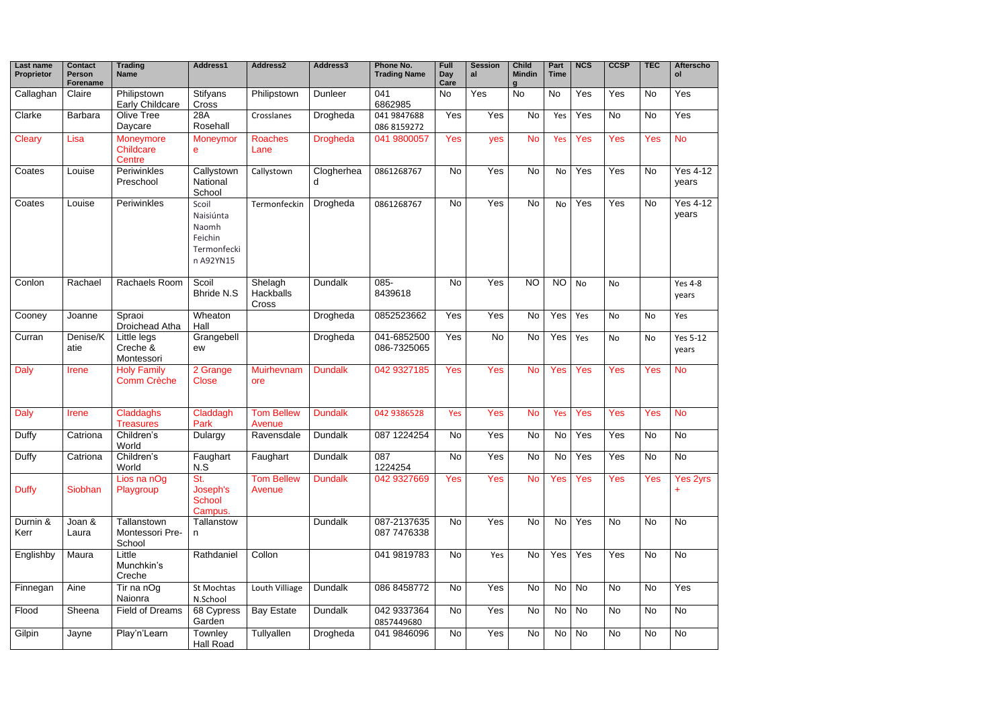| Last name<br><b>Proprietor</b> | <b>Contact</b><br><b>Person</b><br><b>Forename</b> | <b>Trading</b><br><b>Name</b>                  | Address1                                                           | Address2                             | Address3        | Phone No.<br><b>Trading Name</b> | Full<br>Day<br>Care | <b>Session</b><br>al | <b>Child</b><br><b>Mindin</b> | Part<br><b>Time</b> | <b>NCS</b> | <b>CCSP</b> | <b>TEC</b> | <b>Afterscho</b><br>ol   |
|--------------------------------|----------------------------------------------------|------------------------------------------------|--------------------------------------------------------------------|--------------------------------------|-----------------|----------------------------------|---------------------|----------------------|-------------------------------|---------------------|------------|-------------|------------|--------------------------|
| Callaghan                      | Claire                                             | Philipstown<br><b>Early Childcare</b>          | <b>Stifyans</b><br>Cross                                           | Philipstown                          | <b>Dunleer</b>  | 041<br>6862985                   | <b>No</b>           | Yes                  | <b>No</b>                     | <b>No</b>           | Yes        | Yes         | <b>No</b>  | Yes                      |
| Clarke                         | <b>Barbara</b>                                     | Olive Tree<br>Daycare                          | 28A<br>Rosehall                                                    | Crosslanes                           | Drogheda        | 041 9847688<br>086 8159272       | Yes                 | Yes                  | <b>No</b>                     | Yes                 | Yes        | <b>No</b>   | <b>No</b>  | Yes                      |
| Cleary                         | Lisa                                               | <b>Moneymore</b><br><b>Childcare</b><br>Centre | Moneymor<br>e                                                      | <b>Roaches</b><br>Lane               | <b>Drogheda</b> | 041 9800057                      | <b>Yes</b>          | yes                  | <b>No</b>                     | Yes                 | Yes        | Yes         | Yes        | <b>No</b>                |
| Coates                         | Louise                                             | Periwinkles<br>Preschool                       | Callystown<br>National<br>School                                   | Callystown                           | Clogherhea<br>d | 0861268767                       | <b>No</b>           | Yes                  | <b>No</b>                     | <b>No</b>           | Yes        | Yes         | <b>No</b>  | <b>Yes 4-12</b><br>years |
| Coates                         | Louise                                             | Periwinkles                                    | Scoil<br>Naisiúnta<br>Naomh<br>Feichin<br>Termonfecki<br>n A92YN15 | Termonfeckin                         | Drogheda        | 0861268767                       | No                  | Yes                  | <b>No</b>                     | No                  | Yes        | Yes         | <b>No</b>  | <b>Yes 4-12</b><br>years |
| Conlon                         | Rachael                                            | Rachaels Room                                  | Scoil<br><b>Bhride N.S</b>                                         | Shelagh<br><b>Hackballs</b><br>Cross | <b>Dundalk</b>  | 085-<br>8439618                  | <b>No</b>           | Yes                  | <b>NO</b>                     | <b>NO</b>           | <b>No</b>  | No          |            | <b>Yes 4-8</b><br>years  |
| Cooney                         | Joanne                                             | Spraoi<br>Droichead Atha                       | Wheaton<br>Hall                                                    |                                      | Drogheda        | 0852523662                       | Yes                 | Yes                  | No                            | Yes                 | Yes        | No          | No         | Yes                      |
| Curran                         | Denise/K<br>atie                                   | Little legs<br>Creche &<br>Montessori          | Grangebell<br>ew                                                   |                                      | Drogheda        | 041-6852500<br>086-7325065       | Yes                 | <b>No</b>            | <b>No</b>                     | Yes                 | Yes        | No          | <b>No</b>  | <b>Yes 5-12</b><br>years |
| <b>Daly</b>                    | <b>Irene</b>                                       | <b>Holy Family</b><br><b>Comm Crèche</b>       | 2 Grange<br><b>Close</b>                                           | Muirhevnam<br>ore                    | <b>Dundalk</b>  | 042 9327185                      | Yes                 | Yes                  | <b>No</b>                     | Yes                 | Yes        | Yes         | Yes        | <b>No</b>                |
| <b>Daly</b>                    | <b>Irene</b>                                       | Claddaghs<br><b>Treasures</b>                  | Claddagh<br>Park                                                   | <b>Tom Bellew</b><br>Avenue          | <b>Dundalk</b>  | 042 9386528                      | Yes                 | Yes                  | <b>No</b>                     | Yes                 | Yes        | Yes         | <b>Yes</b> | <b>No</b>                |
| Duffy                          | Catriona                                           | Children's<br>World                            | Dulargy                                                            | Ravensdale                           | <b>Dundalk</b>  | 087 1224254                      | <b>No</b>           | Yes                  | No                            | No                  | Yes        | Yes         | <b>No</b>  | <b>No</b>                |
| Duffy                          | Catriona                                           | Children's<br>World                            | Faughart<br>N.S                                                    | Faughart                             | <b>Dundalk</b>  | 087<br>1224254                   | <b>No</b>           | Yes                  | No                            | <b>No</b>           | Yes        | Yes         | <b>No</b>  | <b>No</b>                |
| <b>Duffy</b>                   | Siobhan                                            | Lios na nOg<br>Playgroup                       | St.<br>Joseph's<br><b>School</b><br>Campus.                        | <b>Tom Bellew</b><br>Avenue          | <b>Dundalk</b>  | 042 9327669                      | Yes                 | Yes                  | <b>No</b>                     | Yes                 | Yes        | Yes         | Yes        | Yes 2yrs<br>÷            |
| Durnin &<br>Kerr               | Joan &<br>Laura                                    | Tallanstown<br>Montessori Pre-<br>School       | Tallanstow<br>n                                                    |                                      | <b>Dundalk</b>  | 087-2137635<br>087 7476338       | <b>No</b>           | Yes                  | No                            | No                  | Yes        | <b>No</b>   | <b>No</b>  | <b>No</b>                |
| Englishby                      | Maura                                              | Little<br>Munchkin's<br>Creche                 | Rathdaniel                                                         | Collon                               |                 | 041 981 9783                     | <b>No</b>           | Yes                  | No                            | Yes                 | Yes        | Yes         | <b>No</b>  | <b>No</b>                |
| Finnegan                       | Aine                                               | Tir na nOg<br>Naionra                          | St Mochtas<br>N.School                                             | Louth Villiage                       | <b>Dundalk</b>  | 086 8458772                      | <b>No</b>           | Yes                  | <b>No</b>                     | No                  | No         | No          | No         | Yes                      |
| Flood                          | Sheena                                             | <b>Field of Dreams</b>                         | 68 Cypress<br>Garden                                               | <b>Bay Estate</b>                    | <b>Dundalk</b>  | 042 9337364<br>0857449680        | No                  | Yes                  | No                            | No                  | <b>No</b>  | No          | <b>No</b>  | No                       |
| Gilpin                         | Jayne                                              | Play'n'Learn                                   | Townley<br>Hall Road                                               | Tullyallen                           | Drogheda        | 041 9846096                      | No                  | Yes                  | No                            | No                  | <b>No</b>  | No          | No         | No                       |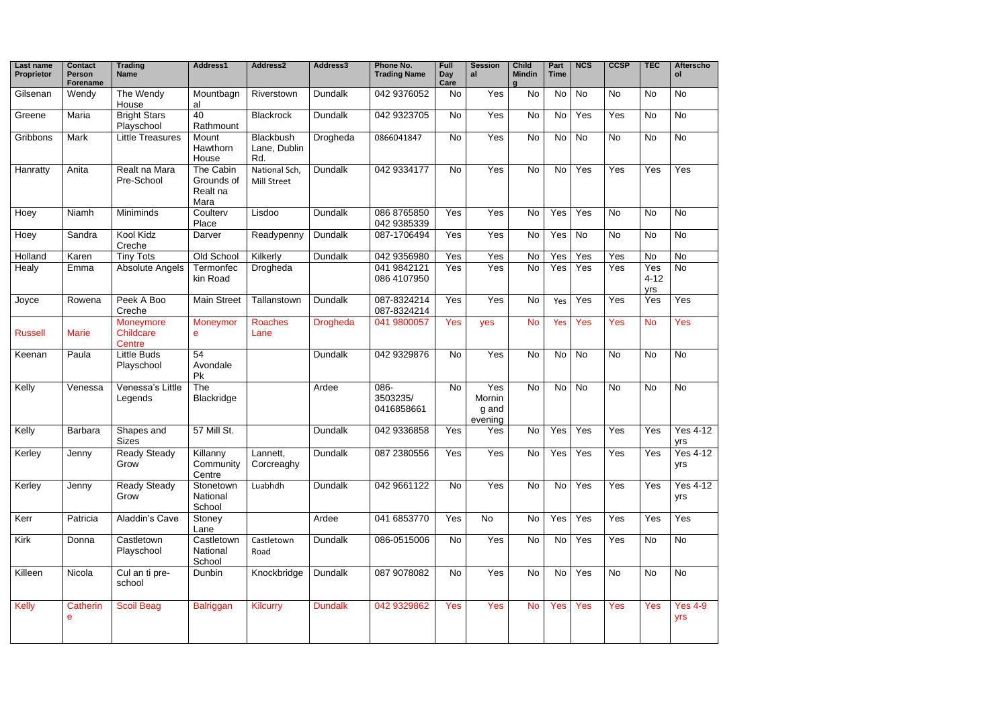| Last name<br><b>Proprietor</b> | <b>Contact</b><br><b>Person</b><br>Forename | <b>Trading</b><br>Name            | Address1                                    | Address2                                | Address3        | Phone No.<br><b>Trading Name</b> | Full<br><b>Day</b><br>Care | <b>Session</b><br>al              | <b>Child</b><br><b>Mindin</b><br>$\mathbf{a}$ | Part<br><b>Time</b> | <b>NCS</b> | <b>CCSP</b> | <b>TEC</b>             | <b>Afterscho</b><br>ol |
|--------------------------------|---------------------------------------------|-----------------------------------|---------------------------------------------|-----------------------------------------|-----------------|----------------------------------|----------------------------|-----------------------------------|-----------------------------------------------|---------------------|------------|-------------|------------------------|------------------------|
| Gilsenan                       | Wendy                                       | The Wendy<br>House                | Mountbagn<br>al                             | Riverstown                              | <b>Dundalk</b>  | 042 9376052                      | <b>No</b>                  | Yes                               | <b>No</b>                                     | No                  | <b>No</b>  | <b>No</b>   | No                     | <b>No</b>              |
| Greene                         | Maria                                       | <b>Bright Stars</b><br>Playschool | 40<br>Rathmount                             | <b>Blackrock</b>                        | <b>Dundalk</b>  | 042 9323705                      | <b>No</b>                  | Yes                               | No                                            | <b>No</b>           | Yes        | Yes         | <b>No</b>              | <b>No</b>              |
| Gribbons                       | Mark                                        | <b>Little Treasures</b>           | Mount<br>Hawthorn<br>House                  | <b>Blackbush</b><br>Lane, Dublin<br>Rd. | Drogheda        | 0866041847                       | <b>No</b>                  | Yes                               | No                                            | No                  | No         | <b>No</b>   | <b>No</b>              | <b>No</b>              |
| Hanratty                       | Anita                                       | Realt na Mara<br>Pre-School       | The Cabin<br>Grounds of<br>Realt na<br>Mara | National Sch,<br><b>Mill Street</b>     | <b>Dundalk</b>  | 042 9334177                      | <b>No</b>                  | Yes                               | <b>No</b>                                     | No                  | Yes        | Yes         | Yes                    | Yes                    |
| Hoey                           | Niamh                                       | Miniminds                         | Coulterv<br>Place                           | Lisdoo                                  | <b>Dundalk</b>  | 086 8765850<br>042 9385339       | Yes                        | Yes                               | No                                            | Yes                 | Yes        | <b>No</b>   | <b>No</b>              | <b>No</b>              |
| Hoey                           | Sandra                                      | Kool Kidz<br>Creche               | Darver                                      | Readypenny                              | <b>Dundalk</b>  | 087-1706494                      | Yes                        | Yes                               | No                                            | Yes                 | No         | No          | No                     | <b>No</b>              |
| Holland                        | Karen                                       | <b>Tiny Tots</b>                  | Old School                                  | Kilkerly                                | <b>Dundalk</b>  | 042 9356980                      | Yes                        | Yes                               | No                                            | Yes                 | Yes        | Yes         | <b>No</b>              | <b>No</b>              |
| Healy                          | Emma                                        | <b>Absolute Angels</b>            | Termonfec<br>kin Road                       | Drogheda                                |                 | 041 9842121<br>086 4107950       | Yes                        | Yes                               | No                                            | Yes                 | Yes        | Yes         | Yes<br>$4 - 12$<br>yrs | <b>No</b>              |
| Joyce                          | Rowena                                      | Peek A Boo<br>Creche              | <b>Main Street</b>                          | Tallanstown                             | <b>Dundalk</b>  | 087-8324214<br>087-8324214       | Yes                        | Yes                               | <b>No</b>                                     | Yes                 | Yes        | Yes         | Yes                    | Yes                    |
| <b>Russell</b>                 | <b>Marie</b>                                | Moneymore<br>Childcare<br>Centre  | Moneymor<br>e                               | <b>Roaches</b><br>Lane                  | <b>Drogheda</b> | 041 9800057                      | Yes                        | yes                               | <b>No</b>                                     | Yes                 | <b>Yes</b> | Yes         | <b>No</b>              | Yes                    |
| Keenan                         | Paula                                       | <b>Little Buds</b><br>Playschool  | 54<br>Avondale<br>Pk                        |                                         | <b>Dundalk</b>  | 042 9329876                      | <b>No</b>                  | Yes                               | No                                            | No                  | <b>No</b>  | <b>No</b>   | <b>No</b>              | <b>No</b>              |
| Kelly                          | Venessa                                     | Venessa's Little<br>Legends       | The<br><b>Blackridge</b>                    |                                         | Ardee           | 086-<br>3503235/<br>0416858661   | <b>No</b>                  | Yes<br>Mornin<br>g and<br>evening | <b>No</b>                                     | No                  | <b>No</b>  | <b>No</b>   | <b>No</b>              | <b>No</b>              |
| Kelly                          | Barbara                                     | Shapes and<br><b>Sizes</b>        | 57 Mill St.                                 |                                         | Dundalk         | 042 9336858                      | Yes                        | Yes                               | <b>No</b>                                     | Yes                 | Yes        | Yes         | Yes                    | <b>Yes 4-12</b><br>yrs |
| Kerley                         | Jenny                                       | <b>Ready Steady</b><br>Grow       | Killanny<br>Community<br>Centre             | Lannett,<br>Corcreaghy                  | <b>Dundalk</b>  | 087 2380556                      | Yes                        | Yes                               | <b>No</b>                                     | Yes                 | Yes        | Yes         | Yes                    | <b>Yes 4-12</b><br>yrs |
| Kerley                         | Jenny                                       | <b>Ready Steady</b><br>Grow       | Stonetown<br>National<br>School             | Luabhdh                                 | <b>Dundalk</b>  | 042 9661122                      | <b>No</b>                  | Yes                               | <b>No</b>                                     | <b>No</b>           | Yes        | Yes         | Yes                    | <b>Yes 4-12</b><br>yrs |
| Kerr                           | Patricia                                    | <b>Aladdin's Cave</b>             | Stoney<br>Lane                              |                                         | Ardee           | 041 6853770                      | Yes                        | <b>No</b>                         | No                                            | Yes                 | Yes        | Yes         | Yes                    | Yes                    |
| Kirk                           | Donna                                       | Castletown<br>Playschool          | Castletown<br>National<br>School            | Castletown<br>Road                      | <b>Dundalk</b>  | 086-0515006                      | No                         | Yes                               | No                                            | No                  | Yes        | Yes         | No                     | <b>No</b>              |
| Killeen                        | Nicola                                      | Cul an ti pre-<br>school          | Dunbin                                      | Knockbridge                             | <b>Dundalk</b>  | 087 9078082                      | No                         | Yes                               | <b>No</b>                                     | No                  | Yes        | <b>No</b>   | <b>No</b>              | <b>No</b>              |
| <b>Kelly</b>                   | Catherin<br>е                               | <b>Scoil Beag</b>                 | Balriggan                                   | <b>Kilcurry</b>                         | <b>Dundalk</b>  | 042 9329862                      | Yes                        | Yes                               | <b>No</b>                                     | Yes                 | Yes        | Yes         | Yes                    | <b>Yes 4-9</b><br>yrs  |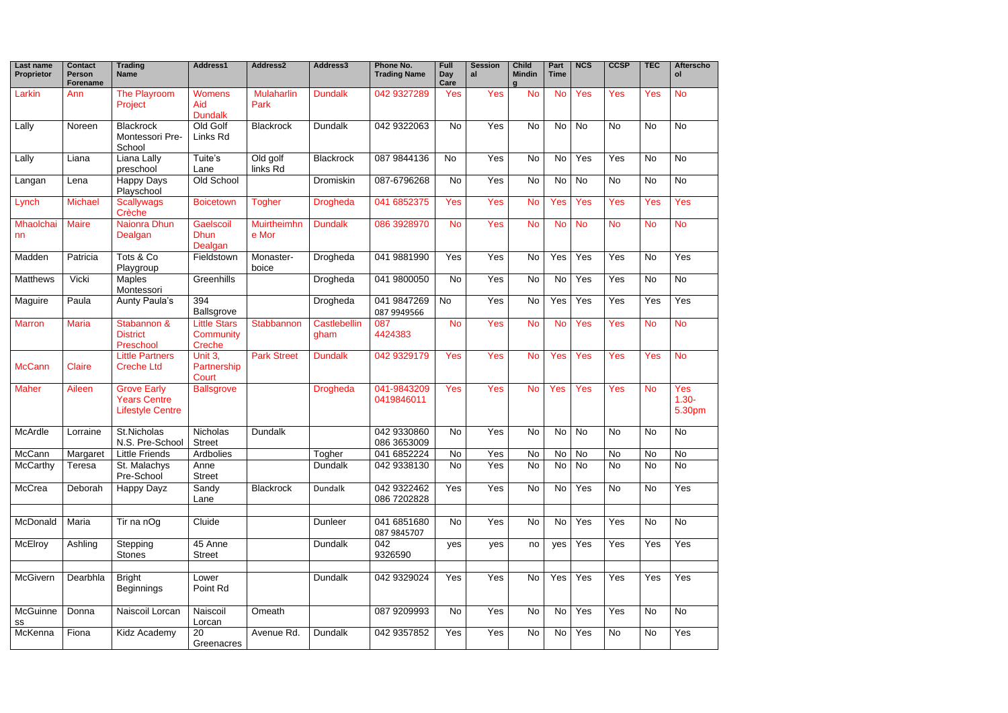| Last name<br><b>Proprietor</b> | <b>Contact</b><br>Person<br><b>Forename</b> | <b>Trading</b><br><b>Name</b>                                        | Address1                                   | Address2                    | Address3             | Phone No.<br><b>Trading Name</b> | Full<br><b>Day</b><br>Care | <b>Session</b><br>al | <b>Child</b><br><b>Mindin</b><br>$\mathbf{a}$ | Part<br><b>Time</b> | <b>NCS</b> | <b>CCSP</b> | <b>TEC</b> | <b>Afterscho</b><br>ol    |
|--------------------------------|---------------------------------------------|----------------------------------------------------------------------|--------------------------------------------|-----------------------------|----------------------|----------------------------------|----------------------------|----------------------|-----------------------------------------------|---------------------|------------|-------------|------------|---------------------------|
| Larkin                         | Ann                                         | <b>The Playroom</b><br>Project                                       | <b>Womens</b><br>Aid<br><b>Dundalk</b>     | <b>Mulaharlin</b><br>Park   | <b>Dundalk</b>       | 042 9327289                      | <b>Yes</b>                 | Yes                  | <b>No</b>                                     | <b>No</b>           | Yes        | Yes         | Yes        | <b>No</b>                 |
| Lally                          | Noreen                                      | <b>Blackrock</b><br>Montessori Pre-<br>School                        | Old Golf<br>Links Rd                       | <b>Blackrock</b>            | <b>Dundalk</b>       | 042 9322063                      | No                         | Yes                  | <b>No</b>                                     | No                  | <b>No</b>  | <b>No</b>   | <b>No</b>  | <b>No</b>                 |
| Lally                          | Liana                                       | Liana Lally<br>preschool                                             | Tuite's<br>Lane                            | Old golf<br>links Rd        | <b>Blackrock</b>     | 087 9844136                      | <b>No</b>                  | Yes                  | <b>No</b>                                     | No                  | Yes        | Yes         | No         | <b>No</b>                 |
| Langan                         | Lena                                        | <b>Happy Days</b><br>Playschool                                      | Old School                                 |                             | Dromiskin            | 087-6796268                      | <b>No</b>                  | Yes                  | <b>No</b>                                     | No                  | <b>No</b>  | <b>No</b>   | <b>No</b>  | <b>No</b>                 |
| Lynch                          | <b>Michael</b>                              | <b>Scallywags</b><br>Crèche                                          | <b>Boicetown</b>                           | <b>Togher</b>               | <b>Drogheda</b>      | 041 6852375                      | <b>Yes</b>                 | Yes                  | <b>No</b>                                     | <b>Yes</b>          | Yes        | Yes         | Yes        | Yes                       |
| Mhaolchai<br>nn                | <b>Maire</b>                                | Naionra Dhun<br>Dealgan                                              | Gaelscoil<br><b>Dhun</b><br>Dealgan        | <b>Muirtheimhn</b><br>e Mor | <b>Dundalk</b>       | 086 3928970                      | <b>No</b>                  | Yes                  | <b>No</b>                                     | <b>No</b>           | <b>No</b>  | <b>No</b>   | <b>No</b>  | <b>No</b>                 |
| Madden                         | Patricia                                    | Tots & Co<br>Playgroup                                               | Fieldstown                                 | Monaster-<br>boice          | Drogheda             | 041 9881990                      | Yes                        | Yes                  | <b>No</b>                                     | Yes                 | Yes        | Yes         | <b>No</b>  | Yes                       |
| <b>Matthews</b>                | Vicki                                       | <b>Maples</b><br>Montessori                                          | Greenhills                                 |                             | Drogheda             | 041 9800050                      | <b>No</b>                  | Yes                  | <b>No</b>                                     | No                  | Yes        | Yes         | No         | <b>No</b>                 |
| Maguire                        | Paula                                       | Aunty Paula's                                                        | 394<br>Ballsgrove                          |                             | Drogheda             | 041 9847269<br>087 9949566       | No                         | Yes                  | <b>No</b>                                     | Yes                 | Yes        | Yes         | Yes        | Yes                       |
| <b>Marron</b>                  | <b>Maria</b>                                | Stabannon &<br><b>District</b><br>Preschool                          | <b>Little Stars</b><br>Community<br>Creche | Stabbannon                  | Castlebellin<br>gham | 087<br>4424383                   | <b>No</b>                  | Yes                  | <b>No</b>                                     | <b>No</b>           | <b>Yes</b> | Yes         | <b>No</b>  | <b>No</b>                 |
| <b>McCann</b>                  | Claire                                      | <b>Little Partners</b><br><b>Creche Ltd</b>                          | Unit 3,<br>Partnership<br><b>Court</b>     | <b>Park Street</b>          | <b>Dundalk</b>       | 042 9329179                      | Yes                        | Yes                  | <b>No</b>                                     | Yes                 | <b>Yes</b> | Yes         | <b>Yes</b> | <b>No</b>                 |
| <b>Maher</b>                   | Aileen                                      | <b>Grove Early</b><br><b>Years Centre</b><br><b>Lifestyle Centre</b> | <b>Ballsgrove</b>                          |                             | <b>Drogheda</b>      | 041-9843209<br>0419846011        | Yes                        | Yes                  | <b>No</b>                                     | <b>Yes</b>          | <b>Yes</b> | Yes         | <b>No</b>  | Yes<br>$1.30 -$<br>5.30pm |
| McArdle                        | Lorraine                                    | St.Nicholas<br>N.S. Pre-School                                       | Nicholas<br><b>Street</b>                  | <b>Dundalk</b>              |                      | 042 9330860<br>086 3653009       | <b>No</b>                  | Yes                  | No                                            | No                  | No         | <b>No</b>   | No         | <b>No</b>                 |
| McCann                         | Margaret                                    | <b>Little Friends</b>                                                | <b>Ardbolies</b>                           |                             | Togher               | 041 6852224                      | <b>No</b>                  | Yes                  | <b>No</b>                                     | <b>No</b>           | No         | <b>No</b>   | <b>No</b>  | <b>No</b>                 |
| <b>McCarthy</b>                | Teresa                                      | St. Malachys<br>Pre-School                                           | Anne<br><b>Street</b>                      |                             | <b>Dundalk</b>       | 042 9338130                      | No                         | Yes                  | <b>No</b>                                     | No                  | No         | No          | No         | <b>No</b>                 |
| McCrea                         | Deborah                                     | Happy Dayz                                                           | Sandy<br>Lane                              | <b>Blackrock</b>            | Dundalk              | 042 9322462<br>086 7202828       | Yes                        | Yes                  | <b>No</b>                                     | No                  | Yes        | No          | <b>No</b>  | Yes                       |
| McDonald                       | Maria                                       | Tir na nOg                                                           | Cluide                                     |                             | <b>Dunleer</b>       | 041 6851680<br>087 9845707       | No                         | Yes                  | <b>No</b>                                     | No                  | Yes        | Yes         | No         | <b>No</b>                 |
| <b>McElroy</b>                 | Ashling                                     | Stepping<br><b>Stones</b>                                            | 45 Anne<br><b>Street</b>                   |                             | <b>Dundalk</b>       | 042<br>9326590                   | yes                        | yes                  | no                                            | yes                 | Yes        | Yes         | Yes        | Yes                       |
| McGivern                       | Dearbhla                                    | <b>Bright</b><br><b>Beginnings</b>                                   | Lower<br>Point Rd                          |                             | <b>Dundalk</b>       | 042 9329024                      | Yes                        | Yes                  | No                                            | Yes                 | Yes        | Yes         | Yes        | Yes                       |
| McGuinne<br>SS                 | Donna                                       | Naiscoil Lorcan                                                      | Naiscoil<br>Lorcan                         | Omeath                      |                      | 087 9209993                      | No                         | Yes                  | No                                            | No                  | Yes        | Yes         | No         | <b>No</b>                 |
| McKenna                        | Fiona                                       | Kidz Academy                                                         | 20<br>Greenacres                           | Avenue Rd.                  | <b>Dundalk</b>       | 042 9357852                      | Yes                        | Yes                  | No                                            | No                  | Yes        | No          | No         | Yes                       |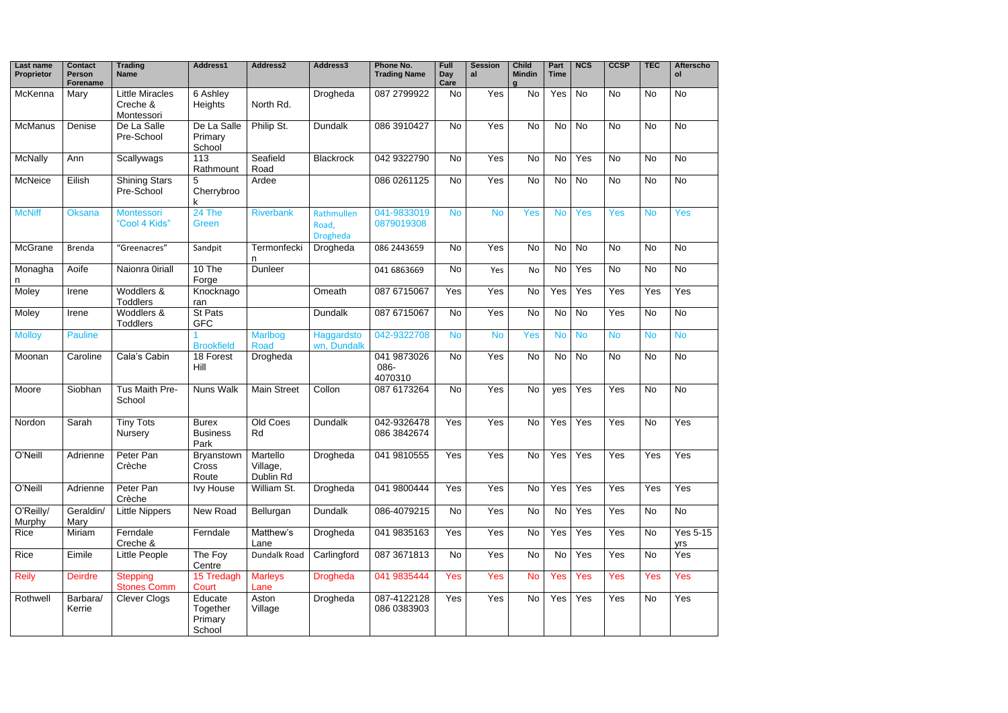| Last name<br><b>Proprietor</b> | <b>Contact</b><br><b>Person</b><br><b>Forename</b> | <b>Trading</b><br>Name                           | Address1                                 | Address2                          | Address3                               | Phone No.<br><b>Trading Name</b> | Full<br><b>Day</b><br>Care | <b>Session</b><br>al | <b>Child</b><br><b>Mindin</b><br>$\mathbf{a}$ | Part<br><b>Time</b> | <b>NCS</b> | <b>CCSP</b> | <b>TEC</b> | <b>Afterscho</b><br>ol |
|--------------------------------|----------------------------------------------------|--------------------------------------------------|------------------------------------------|-----------------------------------|----------------------------------------|----------------------------------|----------------------------|----------------------|-----------------------------------------------|---------------------|------------|-------------|------------|------------------------|
| McKenna                        | Mary                                               | <b>Little Miracles</b><br>Creche &<br>Montessori | 6 Ashley<br>Heights                      | North Rd.                         | Drogheda                               | 087 2799922                      | <b>No</b>                  | Yes                  | No                                            | Yes                 | <b>No</b>  | <b>No</b>   | No         | <b>No</b>              |
| McManus                        | Denise                                             | De La Salle<br>Pre-School                        | De La Salle<br>Primary<br>School         | Philip St.                        | Dundalk                                | 086 3910427                      | <b>No</b>                  | Yes                  | No                                            | <b>No</b>           | <b>No</b>  | <b>No</b>   | <b>No</b>  | <b>No</b>              |
| <b>McNally</b>                 | Ann                                                | Scallywags                                       | 113<br>Rathmount                         | Seafield<br>Road                  | <b>Blackrock</b>                       | 042 9322790                      | <b>No</b>                  | Yes                  | No                                            | <b>No</b>           | Yes        | <b>No</b>   | <b>No</b>  | <b>No</b>              |
| McNeice                        | Eilish                                             | <b>Shining Stars</b><br>Pre-School               | Cherrybroo<br>k                          | Ardee                             |                                        | 086 0261125                      | <b>No</b>                  | Yes                  | <b>No</b>                                     | No                  | <b>No</b>  | <b>No</b>   | <b>No</b>  | <b>No</b>              |
| <b>McNiff</b>                  | Oksana                                             | Montessori<br>"Cool 4 Kids"                      | 24 The<br>Green                          | <b>Riverbank</b>                  | Rathmullen<br>Road,<br><b>Drogheda</b> | 041-9833019<br>0879019308        | <b>No</b>                  | <b>No</b>            | <b>Yes</b>                                    | <b>No</b>           | Yes        | Yes         | <b>No</b>  | Yes                    |
| McGrane                        | Brenda                                             | "Greenacres"                                     | Sandpit                                  | Termonfecki<br>n                  | Drogheda                               | 086 2443659                      | <b>No</b>                  | Yes                  | No                                            | No                  | <b>No</b>  | <b>No</b>   | <b>No</b>  | <b>No</b>              |
| Monagha<br>n                   | Aoife                                              | Naionra Oiriall                                  | $10$ The<br>Forge                        | Dunleer                           |                                        | 041 6863669                      | <b>No</b>                  | Yes                  | No                                            | <b>No</b>           | Yes        | <b>No</b>   | <b>No</b>  | <b>No</b>              |
| Moley                          | Irene                                              | Woddlers &<br><b>Toddlers</b>                    | Knocknago<br>ran                         |                                   | Omeath                                 | 087 6715067                      | Yes                        | Yes                  | <b>No</b>                                     | Yes                 | Yes        | Yes         | Yes        | Yes                    |
| Moley                          | Irene                                              | Woddlers &<br><b>Toddlers</b>                    | <b>St Pats</b><br><b>GFC</b>             |                                   | <b>Dundalk</b>                         | 087 6715067                      | <b>No</b>                  | Yes                  | No                                            | No                  | No         | Yes         | <b>No</b>  | <b>No</b>              |
| <b>Molloy</b>                  | <b>Pauline</b>                                     |                                                  | <b>Brookfield</b>                        | <b>Marlbog</b><br><b>Road</b>     | Haggardsto<br>wn, Dundalk              | 042-9322708                      | <b>No</b>                  | <b>No</b>            | Yes                                           | <b>No</b>           | <b>No</b>  | <b>No</b>   | <b>No</b>  | <b>No</b>              |
| Moonan                         | Caroline                                           | Cala's Cabin                                     | 18 Forest<br>Hill                        | Drogheda                          |                                        | 041 9873026<br>086-<br>4070310   | <b>No</b>                  | Yes                  | <b>No</b>                                     | <b>No</b>           | No         | No          | No         | <b>No</b>              |
| Moore                          | Siobhan                                            | Tus Maith Pre-<br>School                         | <b>Nuns Walk</b>                         | <b>Main Street</b>                | Collon                                 | 087 6173264                      | <b>No</b>                  | Yes                  | <b>No</b>                                     | yes                 | Yes        | Yes         | <b>No</b>  | <b>No</b>              |
| Nordon                         | Sarah                                              | <b>Tiny Tots</b><br>Nursery                      | <b>Burex</b><br><b>Business</b><br>Park  | Old Coes<br>Rd                    | <b>Dundalk</b>                         | 042-9326478<br>086 3842674       | Yes                        | Yes                  | No                                            | Yes                 | Yes        | Yes         | <b>No</b>  | Yes                    |
| O'Neill                        | Adrienne                                           | Peter Pan<br>Crèche                              | Bryanstown<br>Cross<br>Route             | Martello<br>Village,<br>Dublin Rd | Drogheda                               | 041 9810555                      | Yes                        | Yes                  | <b>No</b>                                     | Yes                 | Yes        | Yes         | Yes        | Yes                    |
| O'Neill                        | Adrienne                                           | Peter Pan<br>Crèche                              | <b>Ivy House</b>                         | William St.                       | Drogheda                               | 041 9800444                      | Yes                        | Yes                  | <b>No</b>                                     | Yes                 | Yes        | Yes         | Yes        | Yes                    |
| O'Reilly/<br>Murphy            | Geraldin/<br>Mary                                  | <b>Little Nippers</b>                            | New Road                                 | Bellurgan                         | <b>Dundalk</b>                         | 086-4079215                      | No                         | Yes                  | <b>No</b>                                     | No                  | Yes        | Yes         | No         | No                     |
| Rice                           | Miriam                                             | Ferndale<br>Creche &                             | Ferndale                                 | Matthew's<br>Lane                 | Drogheda                               | 041 9835163                      | Yes                        | $\overline{Y}$ es    | No                                            | Yes                 | Yes        | Yes         | No         | <b>Yes 5-15</b><br>yrs |
| Rice                           | Eimile                                             | Little People                                    | The Foy<br>Centre                        | Dundalk Road                      | Carlingford                            | 087 3671813                      | No                         | Yes                  | No                                            | No                  | Yes        | Yes         | No         | Yes                    |
| <b>Reily</b>                   | <b>Deirdre</b>                                     | <b>Stepping</b><br><b>Stones Comm</b>            | 15 Tredagh<br>Court                      | <b>Marleys</b><br>Lane            | <b>Drogheda</b>                        | 041 9835444                      | Yes                        | Yes                  | <b>No</b>                                     | Yes                 | Yes        | Yes         | Yes        | Yes                    |
| Rothwell                       | Barbara/<br>Kerrie                                 | <b>Clever Clogs</b>                              | Educate<br>Together<br>Primary<br>School | Aston<br>Village                  | Drogheda                               | 087-4122128<br>086 0383903       | Yes                        | Yes                  | No                                            | Yes                 | Yes        | Yes         | <b>No</b>  | Yes                    |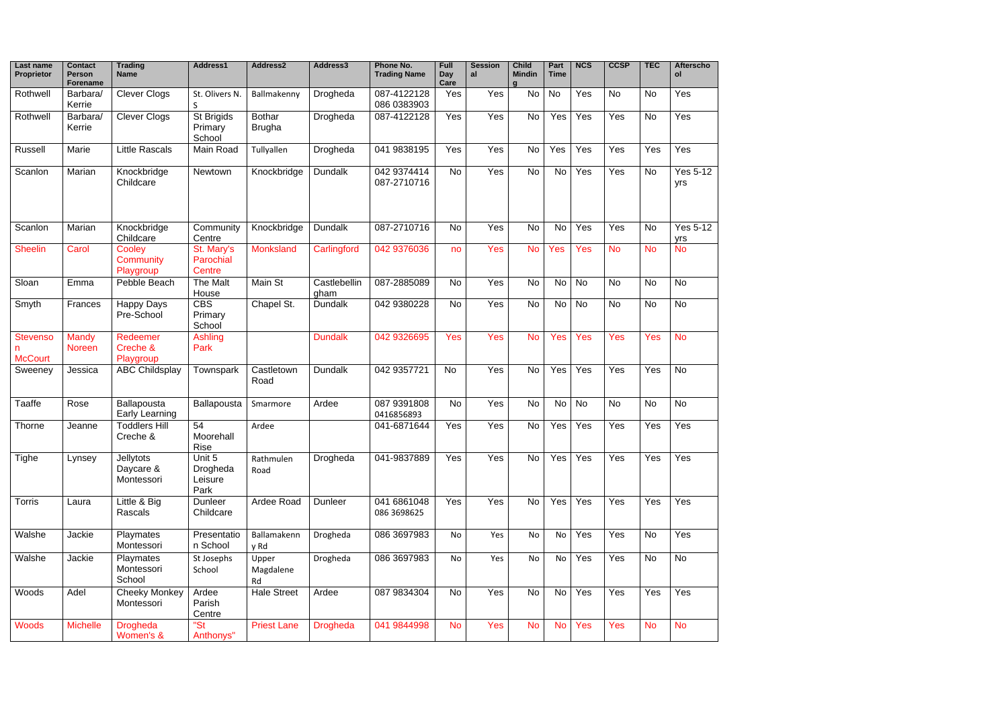| Last name<br><b>Proprietor</b>    | <b>Contact</b><br><b>Person</b><br><b>Forename</b> | <b>Trading</b><br>Name                      | Address1                                 | Address2                       | Address3             | Phone No.<br><b>Trading Name</b> | Full<br><b>Day</b><br>Care | <b>Session</b><br>al | <b>Child</b><br><b>Mindin</b><br>a | Part<br><b>Time</b> | <b>NCS</b> | <b>CCSP</b> | <b>TEC</b> | <b>Afterscho</b><br>ol |
|-----------------------------------|----------------------------------------------------|---------------------------------------------|------------------------------------------|--------------------------------|----------------------|----------------------------------|----------------------------|----------------------|------------------------------------|---------------------|------------|-------------|------------|------------------------|
| Rothwell                          | Barbara/<br>Kerrie                                 | <b>Clever Clogs</b>                         | St. Olivers N.<br>S                      | Ballmakenny                    | Drogheda             | 087-4122128<br>086 0383903       | Yes                        | Yes                  | No                                 | <b>No</b>           | Yes        | <b>No</b>   | No         | Yes                    |
| Rothwell                          | Barbara/<br>Kerrie                                 | <b>Clever Clogs</b>                         | St Brigids<br>Primary<br>School          | <b>Bothar</b><br><b>Brugha</b> | Drogheda             | 087-4122128                      | Yes                        | Yes                  | No                                 | Yes                 | Yes        | Yes         | <b>No</b>  | Yes                    |
| Russell                           | Marie                                              | <b>Little Rascals</b>                       | Main Road                                | Tullyallen                     | Drogheda             | 041 9838195                      | Yes                        | Yes                  | No                                 | Yes                 | Yes        | Yes         | Yes        | Yes                    |
| Scanlon                           | Marian                                             | Knockbridge<br>Childcare                    | Newtown                                  | Knockbridge                    | <b>Dundalk</b>       | 042 9374414<br>087-2710716       | <b>No</b>                  | Yes                  | No                                 | No                  | Yes        | Yes         | <b>No</b>  | <b>Yes 5-12</b><br>yrs |
| Scanlon                           | Marian                                             | Knockbridge<br>Childcare                    | Community<br>Centre                      | Knockbridge                    | <b>Dundalk</b>       | 087-2710716                      | No                         | Yes                  | No                                 | <b>No</b>           | Yes        | Yes         | <b>No</b>  | <b>Yes 5-12</b><br>yrs |
| <b>Sheelin</b>                    | Carol                                              | Cooley<br>Community<br>Playgroup            | St. Mary's<br>Parochial<br><b>Centre</b> | Monksland                      | Carlingford          | 042 9376036                      | no                         | Yes                  | <b>No</b>                          | Yes                 | Yes        | <b>No</b>   | <b>No</b>  | <b>No</b>              |
| Sloan                             | Emma                                               | Pebble Beach                                | The Malt<br>House                        | Main St                        | Castlebellin<br>gham | 087-2885089                      | <b>No</b>                  | Yes                  | <b>No</b>                          | <b>No</b>           | <b>No</b>  | <b>No</b>   | <b>No</b>  | <b>No</b>              |
| Smyth                             | Frances                                            | <b>Happy Days</b><br>Pre-School             | <b>CBS</b><br>Primary<br>School          | Chapel St.                     | <b>Dundalk</b>       | 042 9380228                      | <b>No</b>                  | Yes                  | No                                 | No                  | No         | <b>No</b>   | <b>No</b>  | <b>No</b>              |
| <b>Stevenso</b><br><b>McCourt</b> | <b>Mandy</b><br>Noreen                             | Redeemer<br>Creche &<br>Playgroup           | Ashling<br>Park                          |                                | <b>Dundalk</b>       | 042 9326695                      | Yes                        | Yes                  | <b>No</b>                          | Yes                 | Yes        | Yes         | <b>Yes</b> | <b>No</b>              |
| Sweeney                           | Jessica                                            | <b>ABC Childsplay</b>                       | Townspark                                | Castletown<br>Road             | <b>Dundalk</b>       | 042 9357721                      | <b>No</b>                  | Yes                  | No                                 | Yes                 | Yes        | Yes         | Yes        | <b>No</b>              |
| Taaffe                            | Rose                                               | Ballapousta<br>Early Learning               | Ballapousta                              | Smarmore                       | Ardee                | 087 9391808<br>0416856893        | <b>No</b>                  | Yes                  | No                                 | <b>No</b>           | No         | <b>No</b>   | No         | <b>No</b>              |
| Thorne                            | Jeanne                                             | <b>Toddlers Hill</b><br>Creche &            | 54<br>Moorehall<br>Rise                  | Ardee                          |                      | 041-6871644                      | Yes                        | Yes                  | No                                 | Yes                 | Yes        | Yes         | Yes        | Yes                    |
| Tighe                             | Lynsey                                             | <b>Jellytots</b><br>Daycare &<br>Montessori | Unit 5<br>Drogheda<br>Leisure<br>Park    | Rathmulen<br>Road              | Drogheda             | 041-9837889                      | Yes                        | Yes                  | <b>No</b>                          | Yes                 | Yes        | Yes         | Yes        | Yes                    |
| Torris                            | Laura                                              | Little & Big<br>Rascals                     | Dunleer<br>Childcare                     | Ardee Road                     | Dunleer              | 041 6861048<br>086 3698625       | Yes                        | Yes                  | <b>No</b>                          | Yes                 | Yes        | Yes         | Yes        | Yes                    |
| Walshe                            | Jackie                                             | Playmates<br>Montessori                     | Presentatio<br>n School                  | Ballamakenn<br>y Rd            | Drogheda             | 086 3697983                      | No                         | Yes                  | No                                 | No                  | Yes        | Yes         | No         | Yes                    |
| Walshe                            | Jackie                                             | Playmates<br>Montessori<br>School           | St Josephs<br>School                     | Upper<br>Magdalene<br>Rd       | Drogheda             | 086 3697983                      | No                         | Yes                  | No                                 | No                  | Yes        | Yes         | <b>No</b>  | No                     |
| <b>Woods</b>                      | Adel                                               | <b>Cheeky Monkey</b><br>Montessori          | Ardee<br>Parish<br>Centre                | <b>Hale Street</b>             | Ardee                | 087 9834304                      | <b>No</b>                  | Yes                  | <b>No</b>                          | No                  | Yes        | Yes         | Yes        | Yes                    |
| <b>Woods</b>                      | <b>Michelle</b>                                    | <b>Drogheda</b><br>Women's &                | "St<br>Anthonys"                         | <b>Priest Lane</b>             | <b>Drogheda</b>      | 041 9844998                      | <b>No</b>                  | Yes                  | <b>No</b>                          | <b>No</b>           | Yes        | Yes         | <b>No</b>  | <b>No</b>              |